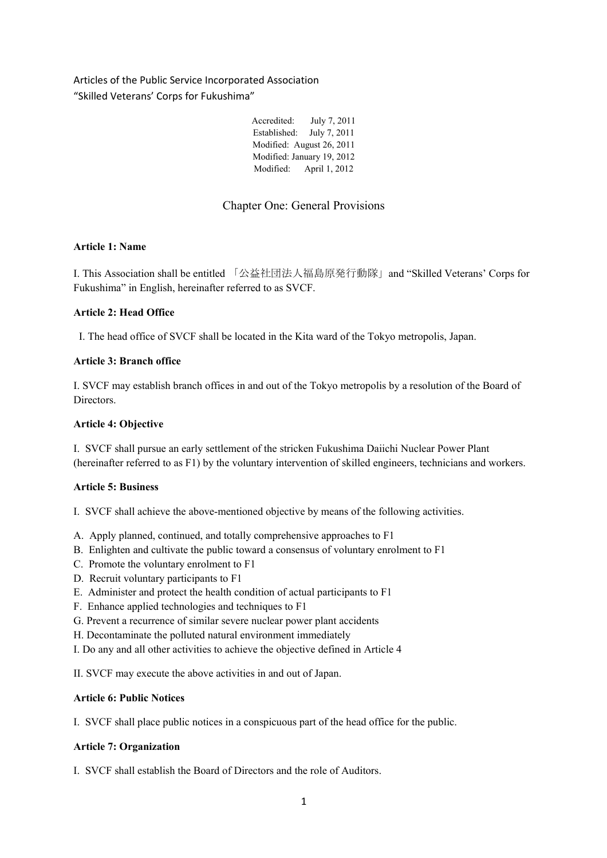Articles of the Public Service Incorporated Association "Skilled Veterans' Corps for Fukushima"

| Accredited:  | July 7, 2011               |
|--------------|----------------------------|
| Established: | July 7, 2011               |
|              | Modified: August 26, 2011  |
|              | Modified: January 19, 2012 |
| Modified:    | April 1, 2012              |

# Chapter One: General Provisions

## **Article 1: Name**

I. This Association shall be entitled 「公益社団法人福島原発行動隊」and "Skilled Veterans' Corps for Fukushima" in English, hereinafter referred to as SVCF.

## **Article 2: Head Office**

I. The head office of SVCF shall be located in the Kita ward of the Tokyo metropolis, Japan.

## **Article 3: Branch office**

I. SVCF may establish branch offices in and out of the Tokyo metropolis by a resolution of the Board of Directors.

### **Article 4: Objective**

I. SVCF shall pursue an early settlement of the stricken Fukushima Daiichi Nuclear Power Plant (hereinafter referred to as F1) by the voluntary intervention of skilled engineers, technicians and workers.

## **Article 5: Business**

I. SVCF shall achieve the above-mentioned objective by means of the following activities.

- A. Apply planned, continued, and totally comprehensive approaches to F1
- B. Enlighten and cultivate the public toward a consensus of voluntary enrolment to F1
- C. Promote the voluntary enrolment to F1
- D. Recruit voluntary participants to F1
- E. Administer and protect the health condition of actual participants to F1
- F. Enhance applied technologies and techniques to F1
- G. Prevent a recurrence of similar severe nuclear power plant accidents
- H. Decontaminate the polluted natural environment immediately
- I. Do any and all other activities to achieve the objective defined in Article 4

II. SVCF may execute the above activities in and out of Japan.

### **Article 6: Public Notices**

I. SVCF shall place public notices in a conspicuous part of the head office for the public.

# **Article 7: Organization**

I. SVCF shall establish the Board of Directors and the role of Auditors.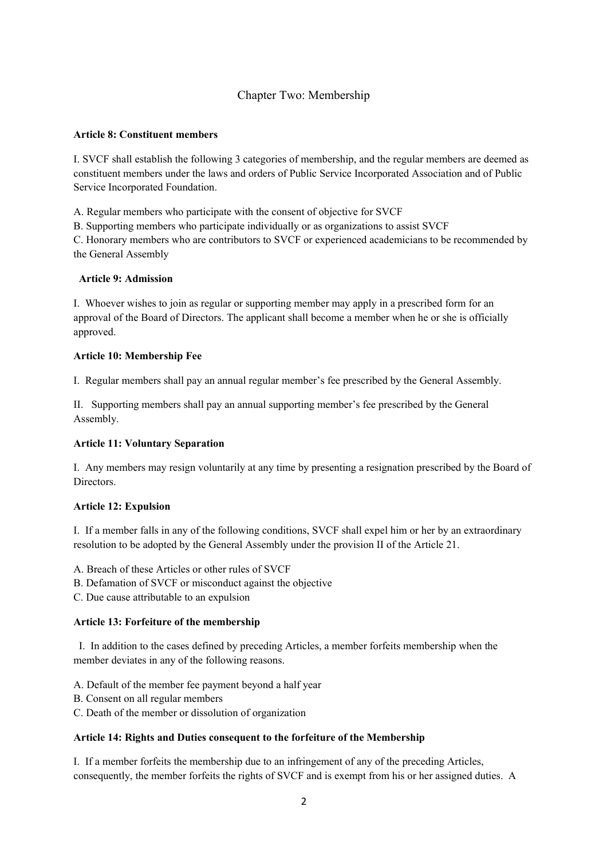# Chapter Two: Membership

#### **Article 8: Constituent members**

I. SVCF shall establish the following 3 categories of membership, and the regular members are deemed as constituent members under the laws and orders of Public Service Incorporated Association and of Public Service Incorporated Foundation.

A. Regular members who participate with the consent of objective for SVCF

B. Supporting members who participate individually or as organizations to assist SVCF

C. Honorary members who are contributors to SVCF or experienced academicians to be recommended by the General Assembly

#### **Article 9: Admission**

I. Whoever wishes to join as regular or supporting member may apply in a prescribed form for an approval of the Board of Directors. The applicant shall become a member when he or she is officially approved.

#### **Article 10: Membership Fee**

I. Regular members shall pay an annual regular member's fee prescribed by the General Assembly.

II. Supporting members shall pay an annual supporting member's fee prescribed by the General Assembly.

### **Article 11: Voluntary Separation**

I. Any members may resign voluntarily at any time by presenting a resignation prescribed by the Board of **Directors** 

### **Article 12: Expulsion**

I. If a member falls in any of the following conditions, SVCF shall expel him or her by an extraordinary resolution to be adopted by the General Assembly under the provision II of the Article 21.

A. Breach of these Articles or other rules of SVCF

- B. Defamation of SVCF or misconduct against the objective
- C. Due cause attributable to an expulsion

#### **Article 13: Forfeiture of the membership**

I. In addition to the cases defined by preceding Articles, a member forfeits membership when the member deviates in any of the following reasons.

A. Default of the member fee payment beyond a half year

- B. Consent on all regular members
- C. Death of the member or dissolution of organization

### **Article 14: Rights and Duties consequent to the forfeiture of the Membership**

I. If a member forfeits the membership due to an infringement of any of the preceding Articles, consequently, the member forfeits the rights of SVCF and is exempt from his or her assigned duties. A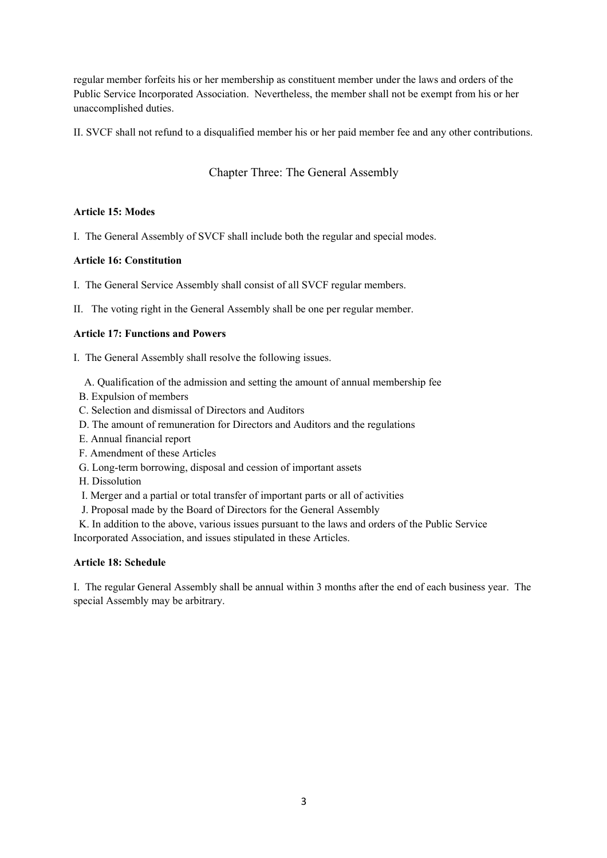regular member forfeits his or her membership as constituent member under the laws and orders of the Public Service Incorporated Association. Nevertheless, the member shall not be exempt from his or her unaccomplished duties.

II. SVCF shall not refund to a disqualified member his or her paid member fee and any other contributions.

# Chapter Three: The General Assembly

### **Article 15: Modes**

I. The General Assembly of SVCF shall include both the regular and special modes.

## **Article 16: Constitution**

I. The General Service Assembly shall consist of all SVCF regular members.

II. The voting right in the General Assembly shall be one per regular member.

## **Article 17: Functions and Powers**

- I. The General Assembly shall resolve the following issues.
	- A. Qualification of the admission and setting the amount of annual membership fee
- B. Expulsion of members
- C. Selection and dismissal of Directors and Auditors
- D. The amount of remuneration for Directors and Auditors and the regulations
- E. Annual financial report
- F. Amendment of these Articles
- G. Long-term borrowing, disposal and cession of important assets
- H. Dissolution
- I. Merger and a partial or total transfer of important parts or all of activities
- J. Proposal made by the Board of Directors for the General Assembly

 K. In addition to the above, various issues pursuant to the laws and orders of the Public Service Incorporated Association, and issues stipulated in these Articles.

### **Article 18: Schedule**

I. The regular General Assembly shall be annual within 3 months after the end of each business year. The special Assembly may be arbitrary.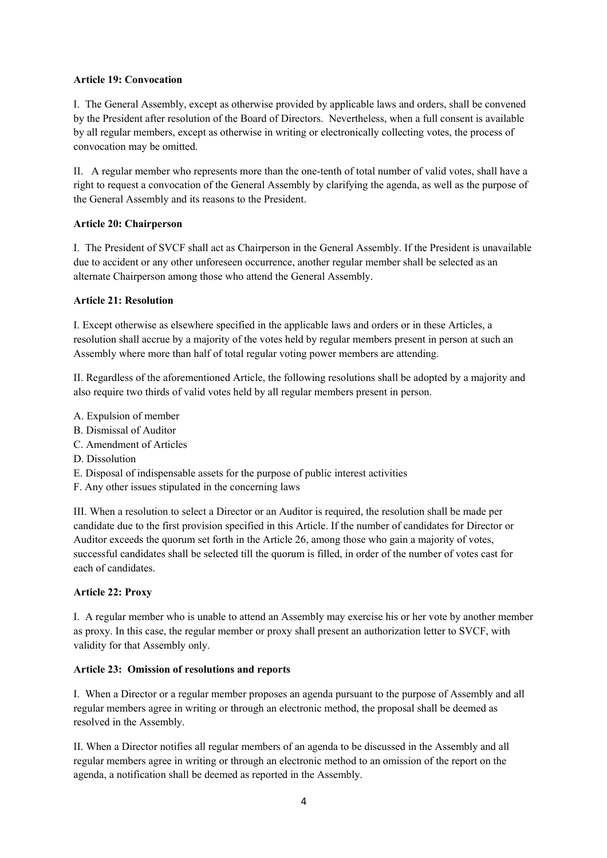## **Article 19: Convocation**

I. The General Assembly, except as otherwise provided by applicable laws and orders, shall be convened by the President after resolution of the Board of Directors. Nevertheless, when a full consent is available by all regular members, except as otherwise in writing or electronically collecting votes, the process of convocation may be omitted.

II. A regular member who represents more than the one-tenth of total number of valid votes, shall have a right to request a convocation of the General Assembly by clarifying the agenda, as well as the purpose of the General Assembly and its reasons to the President.

## **Article 20: Chairperson**

I. The President of SVCF shall act as Chairperson in the General Assembly. If the President is unavailable due to accident or any other unforeseen occurrence, another regular member shall be selected as an alternate Chairperson among those who attend the General Assembly.

## **Article 21: Resolution**

I. Except otherwise as elsewhere specified in the applicable laws and orders or in these Articles, a resolution shall accrue by a majority of the votes held by regular members present in person at such an Assembly where more than half of total regular voting power members are attending.

II. Regardless of the aforementioned Article, the following resolutions shall be adopted by a majority and also require two thirds of valid votes held by all regular members present in person.

- A. Expulsion of member
- B. Dismissal of Auditor
- C. Amendment of Articles
- D. Dissolution
- E. Disposal of indispensable assets for the purpose of public interest activities
- F. Any other issues stipulated in the concerning laws

III. When a resolution to select a Director or an Auditor is required, the resolution shall be made per candidate due to the first provision specified in this Article. If the number of candidates for Director or Auditor exceeds the quorum set forth in the Article 26, among those who gain a majority of votes, successful candidates shall be selected till the quorum is filled, in order of the number of votes cast for each of candidates.

### **Article 22: Proxy**

I. A regular member who is unable to attend an Assembly may exercise his or her vote by another member as proxy. In this case, the regular member or proxy shall present an authorization letter to SVCF, with validity for that Assembly only.

### **Article 23: Omission of resolutions and reports**

I. When a Director or a regular member proposes an agenda pursuant to the purpose of Assembly and all regular members agree in writing or through an electronic method, the proposal shall be deemed as resolved in the Assembly.

II. When a Director notifies all regular members of an agenda to be discussed in the Assembly and all regular members agree in writing or through an electronic method to an omission of the report on the agenda, a notification shall be deemed as reported in the Assembly.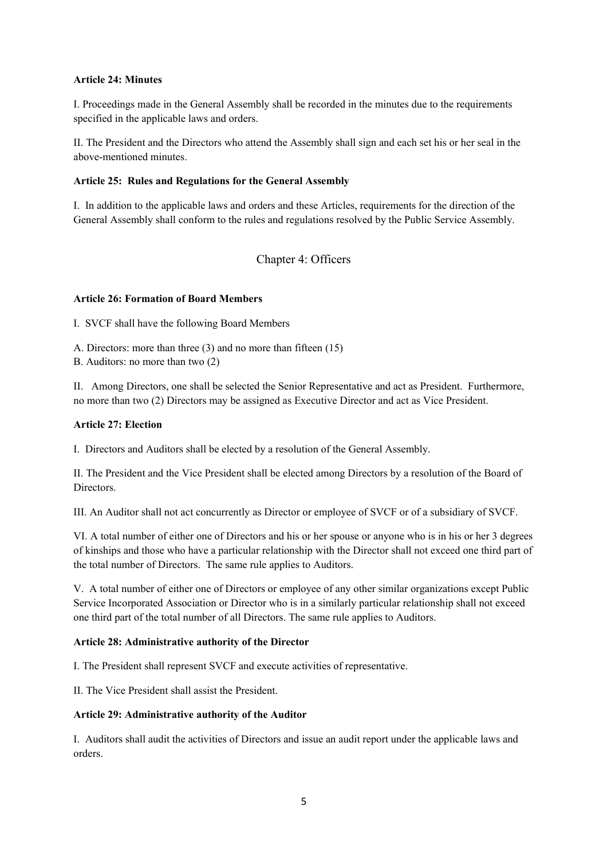### **Article 24: Minutes**

I. Proceedings made in the General Assembly shall be recorded in the minutes due to the requirements specified in the applicable laws and orders.

II. The President and the Directors who attend the Assembly shall sign and each set his or her seal in the above-mentioned minutes.

### **Article 25: Rules and Regulations for the General Assembly**

I. In addition to the applicable laws and orders and these Articles, requirements for the direction of the General Assembly shall conform to the rules and regulations resolved by the Public Service Assembly.

Chapter 4: Officers

### **Article 26: Formation of Board Members**

I. SVCF shall have the following Board Members

A. Directors: more than three (3) and no more than fifteen (15)

B. Auditors: no more than two (2)

II. Among Directors, one shall be selected the Senior Representative and act as President. Furthermore, no more than two (2) Directors may be assigned as Executive Director and act as Vice President.

#### **Article 27: Election**

I. Directors and Auditors shall be elected by a resolution of the General Assembly.

II. The President and the Vice President shall be elected among Directors by a resolution of the Board of **Directors** 

III. An Auditor shall not act concurrently as Director or employee of SVCF or of a subsidiary of SVCF.

VI. A total number of either one of Directors and his or her spouse or anyone who is in his or her 3 degrees of kinships and those who have a particular relationship with the Director shall not exceed one third part of the total number of Directors. The same rule applies to Auditors.

V. A total number of either one of Directors or employee of any other similar organizations except Public Service Incorporated Association or Director who is in a similarly particular relationship shall not exceed one third part of the total number of all Directors. The same rule applies to Auditors.

#### **Article 28: Administrative authority of the Director**

I. The President shall represent SVCF and execute activities of representative.

II. The Vice President shall assist the President.

#### **Article 29: Administrative authority of the Auditor**

I. Auditors shall audit the activities of Directors and issue an audit report under the applicable laws and orders.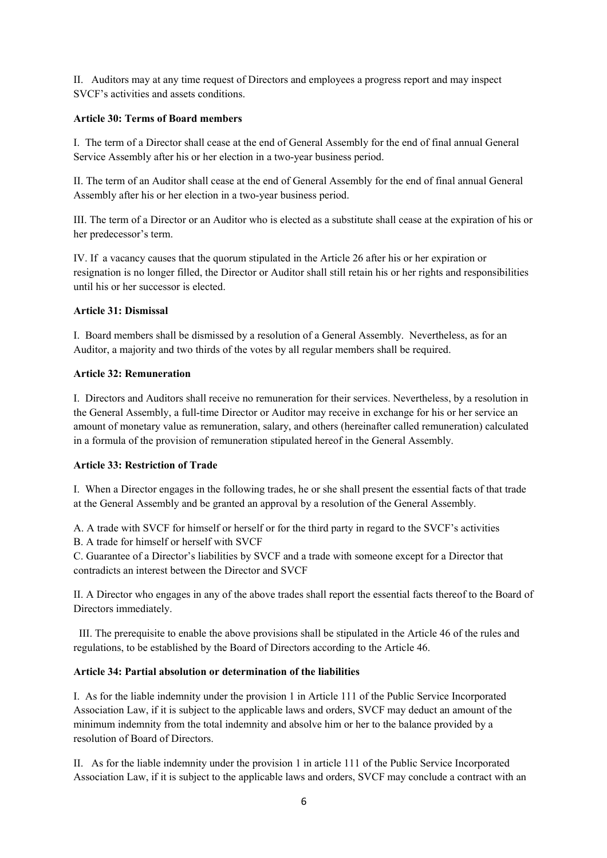II. Auditors may at any time request of Directors and employees a progress report and may inspect SVCF's activities and assets conditions.

### **Article 30: Terms of Board members**

I. The term of a Director shall cease at the end of General Assembly for the end of final annual General Service Assembly after his or her election in a two-year business period.

II. The term of an Auditor shall cease at the end of General Assembly for the end of final annual General Assembly after his or her election in a two-year business period.

III. The term of a Director or an Auditor who is elected as a substitute shall cease at the expiration of his or her predecessor's term.

IV. If a vacancy causes that the quorum stipulated in the Article 26 after his or her expiration or resignation is no longer filled, the Director or Auditor shall still retain his or her rights and responsibilities until his or her successor is elected.

# **Article 31: Dismissal**

I. Board members shall be dismissed by a resolution of a General Assembly. Nevertheless, as for an Auditor, a majority and two thirds of the votes by all regular members shall be required.

## **Article 32: Remuneration**

I. Directors and Auditors shall receive no remuneration for their services. Nevertheless, by a resolution in the General Assembly, a full-time Director or Auditor may receive in exchange for his or her service an amount of monetary value as remuneration, salary, and others (hereinafter called remuneration) calculated in a formula of the provision of remuneration stipulated hereof in the General Assembly.

### **Article 33: Restriction of Trade**

I. When a Director engages in the following trades, he or she shall present the essential facts of that trade at the General Assembly and be granted an approval by a resolution of the General Assembly.

A. A trade with SVCF for himself or herself or for the third party in regard to the SVCF's activities

B. A trade for himself or herself with SVCF

C. Guarantee of a Director's liabilities by SVCF and a trade with someone except for a Director that contradicts an interest between the Director and SVCF

II. A Director who engages in any of the above trades shall report the essential facts thereof to the Board of Directors immediately.

III. The prerequisite to enable the above provisions shall be stipulated in the Article 46 of the rules and regulations, to be established by the Board of Directors according to the Article 46.

# **Article 34: Partial absolution or determination of the liabilities**

I. As for the liable indemnity under the provision 1 in Article 111 of the Public Service Incorporated Association Law, if it is subject to the applicable laws and orders, SVCF may deduct an amount of the minimum indemnity from the total indemnity and absolve him or her to the balance provided by a resolution of Board of Directors.

II. As for the liable indemnity under the provision 1 in article 111 of the Public Service Incorporated Association Law, if it is subject to the applicable laws and orders, SVCF may conclude a contract with an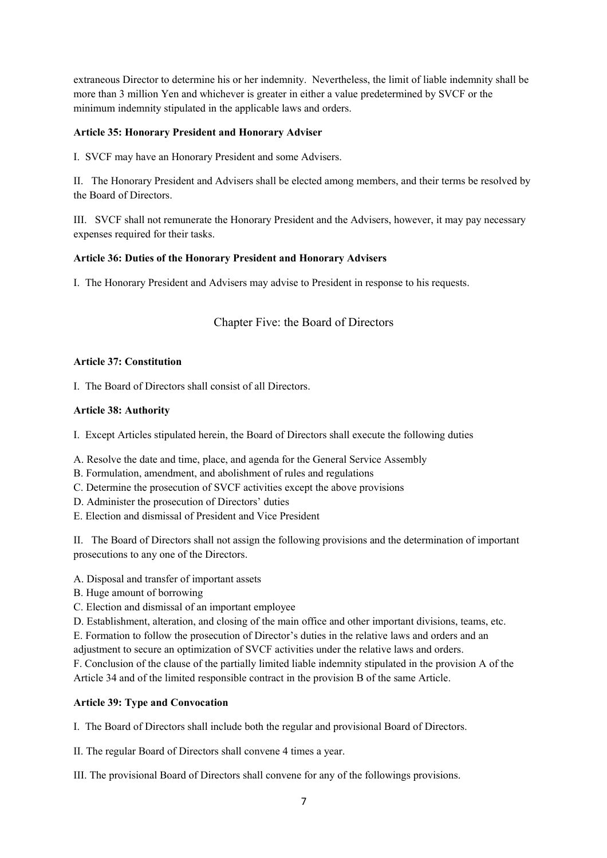extraneous Director to determine his or her indemnity. Nevertheless, the limit of liable indemnity shall be more than 3 million Yen and whichever is greater in either a value predetermined by SVCF or the minimum indemnity stipulated in the applicable laws and orders.

# **Article 35: Honorary President and Honorary Adviser**

I. SVCF may have an Honorary President and some Advisers.

II. The Honorary President and Advisers shall be elected among members, and their terms be resolved by the Board of Directors.

III. SVCF shall not remunerate the Honorary President and the Advisers, however, it may pay necessary expenses required for their tasks.

## **Article 36: Duties of the Honorary President and Honorary Advisers**

I. The Honorary President and Advisers may advise to President in response to his requests.

# Chapter Five: the Board of Directors

### **Article 37: Constitution**

I. The Board of Directors shall consist of all Directors.

### **Article 38: Authority**

I. Except Articles stipulated herein, the Board of Directors shall execute the following duties

A. Resolve the date and time, place, and agenda for the General Service Assembly

B. Formulation, amendment, and abolishment of rules and regulations

C. Determine the prosecution of SVCF activities except the above provisions

D. Administer the prosecution of Directors' duties

E. Election and dismissal of President and Vice President

II. The Board of Directors shall not assign the following provisions and the determination of important prosecutions to any one of the Directors.

A. Disposal and transfer of important assets

- B. Huge amount of borrowing
- C. Election and dismissal of an important employee

D. Establishment, alteration, and closing of the main office and other important divisions, teams, etc.

E. Formation to follow the prosecution of Director's duties in the relative laws and orders and an

adjustment to secure an optimization of SVCF activities under the relative laws and orders.

F. Conclusion of the clause of the partially limited liable indemnity stipulated in the provision A of the Article 34 and of the limited responsible contract in the provision B of the same Article.

### **Article 39: Type and Convocation**

I. The Board of Directors shall include both the regular and provisional Board of Directors.

II. The regular Board of Directors shall convene 4 times a year.

III. The provisional Board of Directors shall convene for any of the followings provisions.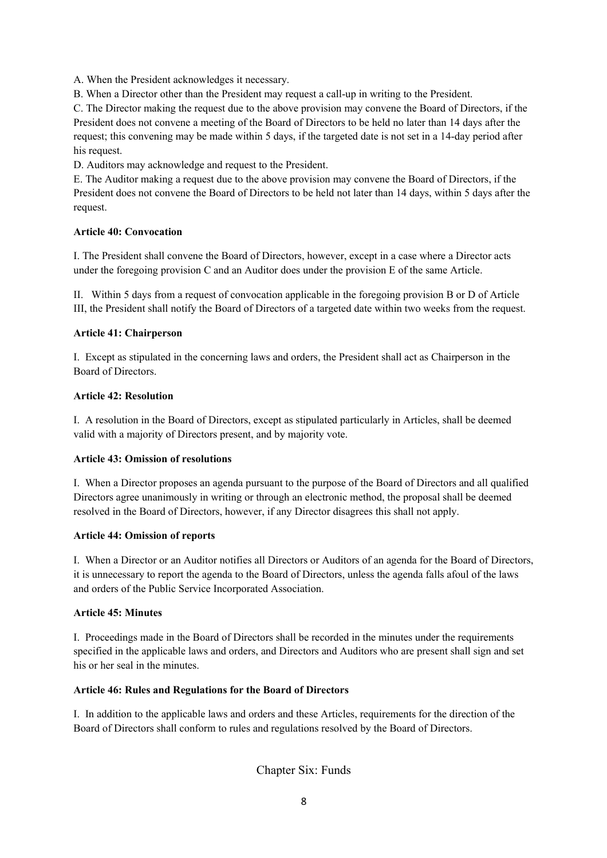A. When the President acknowledges it necessary.

B. When a Director other than the President may request a call-up in writing to the President.

C. The Director making the request due to the above provision may convene the Board of Directors, if the President does not convene a meeting of the Board of Directors to be held no later than 14 days after the request; this convening may be made within 5 days, if the targeted date is not set in a 14-day period after his request.

D. Auditors may acknowledge and request to the President.

E. The Auditor making a request due to the above provision may convene the Board of Directors, if the President does not convene the Board of Directors to be held not later than 14 days, within 5 days after the request.

## **Article 40: Convocation**

I. The President shall convene the Board of Directors, however, except in a case where a Director acts under the foregoing provision C and an Auditor does under the provision E of the same Article.

II. Within 5 days from a request of convocation applicable in the foregoing provision B or D of Article III, the President shall notify the Board of Directors of a targeted date within two weeks from the request.

## **Article 41: Chairperson**

I. Except as stipulated in the concerning laws and orders, the President shall act as Chairperson in the Board of Directors.

## **Article 42: Resolution**

I. A resolution in the Board of Directors, except as stipulated particularly in Articles, shall be deemed valid with a majority of Directors present, and by majority vote.

### **Article 43: Omission of resolutions**

I. When a Director proposes an agenda pursuant to the purpose of the Board of Directors and all qualified Directors agree unanimously in writing or through an electronic method, the proposal shall be deemed resolved in the Board of Directors, however, if any Director disagrees this shall not apply.

### **Article 44: Omission of reports**

I. When a Director or an Auditor notifies all Directors or Auditors of an agenda for the Board of Directors, it is unnecessary to report the agenda to the Board of Directors, unless the agenda falls afoul of the laws and orders of the Public Service Incorporated Association.

### **Article 45: Minutes**

I. Proceedings made in the Board of Directors shall be recorded in the minutes under the requirements specified in the applicable laws and orders, and Directors and Auditors who are present shall sign and set his or her seal in the minutes.

### **Article 46: Rules and Regulations for the Board of Directors**

I. In addition to the applicable laws and orders and these Articles, requirements for the direction of the Board of Directors shall conform to rules and regulations resolved by the Board of Directors.

Chapter Six: Funds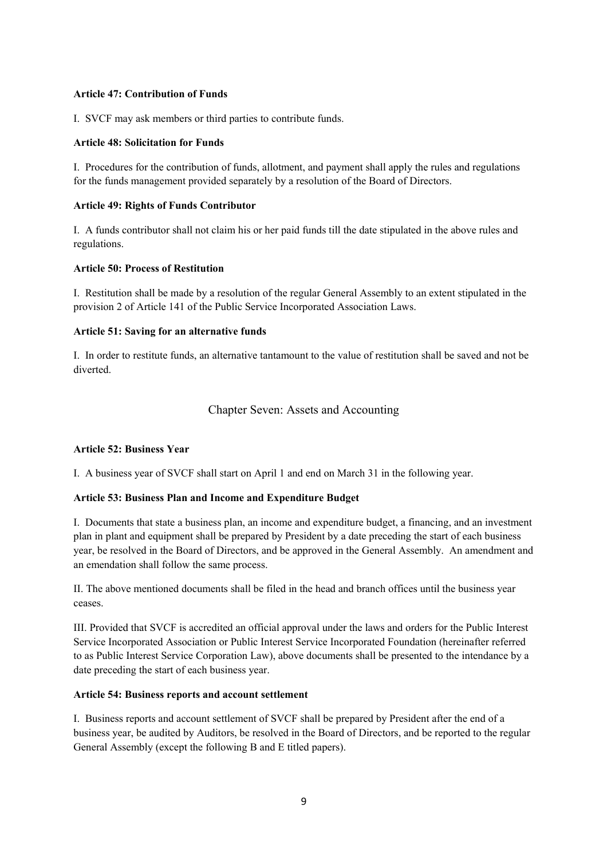### **Article 47: Contribution of Funds**

I. SVCF may ask members or third parties to contribute funds.

### **Article 48: Solicitation for Funds**

I. Procedures for the contribution of funds, allotment, and payment shall apply the rules and regulations for the funds management provided separately by a resolution of the Board of Directors.

## **Article 49: Rights of Funds Contributor**

I. A funds contributor shall not claim his or her paid funds till the date stipulated in the above rules and regulations.

## **Article 50: Process of Restitution**

I. Restitution shall be made by a resolution of the regular General Assembly to an extent stipulated in the provision 2 of Article 141 of the Public Service Incorporated Association Laws.

## **Article 51: Saving for an alternative funds**

I. In order to restitute funds, an alternative tantamount to the value of restitution shall be saved and not be diverted.

# Chapter Seven: Assets and Accounting

# **Article 52: Business Year**

I. A business year of SVCF shall start on April 1 and end on March 31 in the following year.

### **Article 53: Business Plan and Income and Expenditure Budget**

I. Documents that state a business plan, an income and expenditure budget, a financing, and an investment plan in plant and equipment shall be prepared by President by a date preceding the start of each business year, be resolved in the Board of Directors, and be approved in the General Assembly. An amendment and an emendation shall follow the same process.

II. The above mentioned documents shall be filed in the head and branch offices until the business year ceases.

III. Provided that SVCF is accredited an official approval under the laws and orders for the Public Interest Service Incorporated Association or Public Interest Service Incorporated Foundation (hereinafter referred to as Public Interest Service Corporation Law), above documents shall be presented to the intendance by a date preceding the start of each business year.

### **Article 54: Business reports and account settlement**

I. Business reports and account settlement of SVCF shall be prepared by President after the end of a business year, be audited by Auditors, be resolved in the Board of Directors, and be reported to the regular General Assembly (except the following B and E titled papers).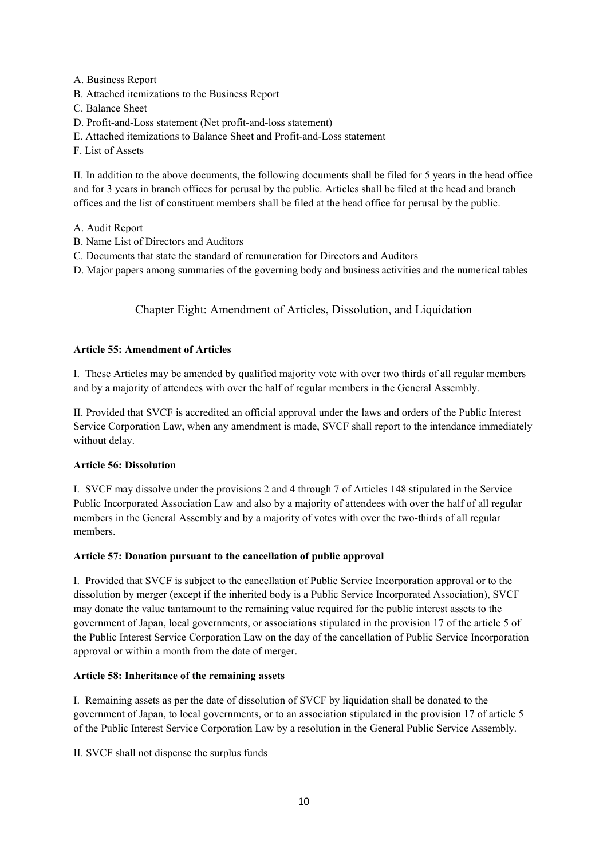- A. Business Report
- B. Attached itemizations to the Business Report
- C. Balance Sheet
- D. Profit-and-Loss statement (Net profit-and-loss statement)
- E. Attached itemizations to Balance Sheet and Profit-and-Loss statement
- F. List of Assets

II. In addition to the above documents, the following documents shall be filed for 5 years in the head office and for 3 years in branch offices for perusal by the public. Articles shall be filed at the head and branch offices and the list of constituent members shall be filed at the head office for perusal by the public.

- A. Audit Report
- B. Name List of Directors and Auditors
- C. Documents that state the standard of remuneration for Directors and Auditors

D. Major papers among summaries of the governing body and business activities and the numerical tables

# Chapter Eight: Amendment of Articles, Dissolution, and Liquidation

## **Article 55: Amendment of Articles**

I. These Articles may be amended by qualified majority vote with over two thirds of all regular members and by a majority of attendees with over the half of regular members in the General Assembly.

II. Provided that SVCF is accredited an official approval under the laws and orders of the Public Interest Service Corporation Law, when any amendment is made, SVCF shall report to the intendance immediately without delay.

### **Article 56: Dissolution**

I. SVCF may dissolve under the provisions 2 and 4 through 7 of Articles 148 stipulated in the Service Public Incorporated Association Law and also by a majority of attendees with over the half of all regular members in the General Assembly and by a majority of votes with over the two-thirds of all regular members.

### **Article 57: Donation pursuant to the cancellation of public approval**

I. Provided that SVCF is subject to the cancellation of Public Service Incorporation approval or to the dissolution by merger (except if the inherited body is a Public Service Incorporated Association), SVCF may donate the value tantamount to the remaining value required for the public interest assets to the government of Japan, local governments, or associations stipulated in the provision 17 of the article 5 of the Public Interest Service Corporation Law on the day of the cancellation of Public Service Incorporation approval or within a month from the date of merger.

### **Article 58: Inheritance of the remaining assets**

I. Remaining assets as per the date of dissolution of SVCF by liquidation shall be donated to the government of Japan, to local governments, or to an association stipulated in the provision 17 of article 5 of the Public Interest Service Corporation Law by a resolution in the General Public Service Assembly.

II. SVCF shall not dispense the surplus funds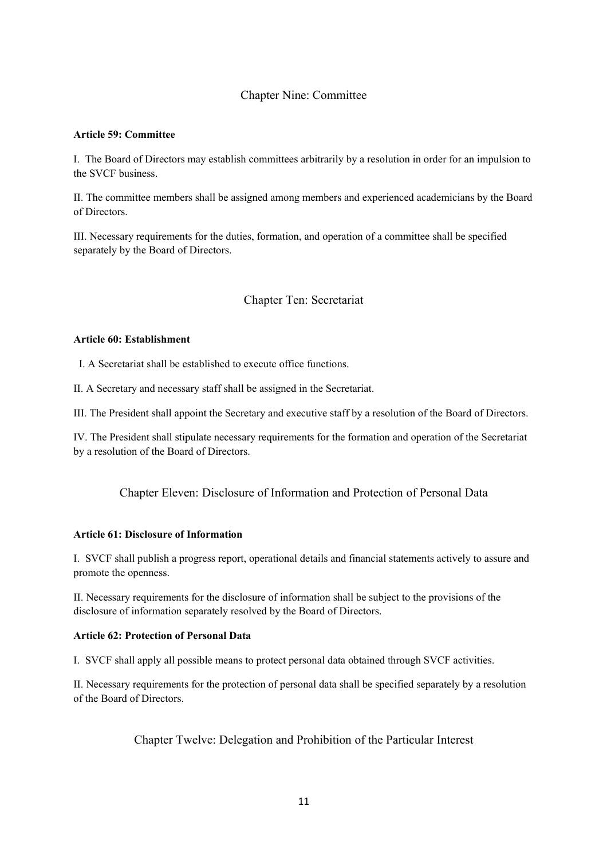# Chapter Nine: Committee

### **Article 59: Committee**

I. The Board of Directors may establish committees arbitrarily by a resolution in order for an impulsion to the SVCF business.

II. The committee members shall be assigned among members and experienced academicians by the Board of Directors.

III. Necessary requirements for the duties, formation, and operation of a committee shall be specified separately by the Board of Directors.

### Chapter Ten: Secretariat

#### **Article 60: Establishment**

I. A Secretariat shall be established to execute office functions.

II. A Secretary and necessary staff shall be assigned in the Secretariat.

III. The President shall appoint the Secretary and executive staff by a resolution of the Board of Directors.

IV. The President shall stipulate necessary requirements for the formation and operation of the Secretariat by a resolution of the Board of Directors.

# Chapter Eleven: Disclosure of Information and Protection of Personal Data

#### **Article 61: Disclosure of Information**

I. SVCF shall publish a progress report, operational details and financial statements actively to assure and promote the openness.

II. Necessary requirements for the disclosure of information shall be subject to the provisions of the disclosure of information separately resolved by the Board of Directors.

#### **Article 62: Protection of Personal Data**

I. SVCF shall apply all possible means to protect personal data obtained through SVCF activities.

II. Necessary requirements for the protection of personal data shall be specified separately by a resolution of the Board of Directors.

Chapter Twelve: Delegation and Prohibition of the Particular Interest